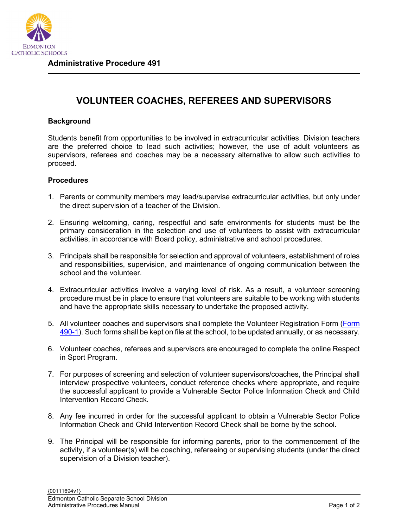

## **VOLUNTEER COACHES, REFEREES AND SUPERVISORS**

## **Background**

Students benefit from opportunities to be involved in extracurricular activities. Division teachers are the preferred choice to lead such activities; however, the use of adult volunteers as supervisors, referees and coaches may be a necessary alternative to allow such activities to proceed.

## **Procedures**

- 1. Parents or community members may lead/supervise extracurricular activities, but only under the direct supervision of a teacher of the Division.
- 2. Ensuring welcoming, caring, respectful and safe environments for students must be the primary consideration in the selection and use of volunteers to assist with extracurricular activities, in accordance with Board policy, administrative and school procedures.
- 3. Principals shall be responsible for selection and approval of volunteers, establishment of roles and responsibilities, supervision, and maintenance of ongoing communication between the school and the volunteer.
- 4. Extracurricular activities involve a varying level of risk. As a result, a volunteer screening procedure must be in place to ensure that volunteers are suitable to be working with students and have the appropriate skills necessary to undertake the proposed activity.
- 5. All volunteer coaches and supervisors shall complete the Volunteer Registration Form (Form [490-1\)](https://edmontoncatholicschools.sharepoint.com/sites/D0100/Forms/Forms/AllItems.aspx?id=%2Fsites%2FD0100%2FForms%2FAP%20490%20%26%20491%20Form%20490%2D1%20Volunteer%20Registration%20Form%2Epdf&parent=%2Fsites%2FD0100%2FForms). Such forms shall be kept on file at the school, to be updated annually, or as necessary.
- 6. Volunteer coaches, referees and supervisors are encouraged to complete the online Respect in Sport Program.
- 7. For purposes of screening and selection of volunteer supervisors/coaches, the Principal shall interview prospective volunteers, conduct reference checks where appropriate, and require the successful applicant to provide a Vulnerable Sector Police Information Check and Child Intervention Record Check.
- 8. Any fee incurred in order for the successful applicant to obtain a Vulnerable Sector Police Information Check and Child Intervention Record Check shall be borne by the school.
- 9. The Principal will be responsible for informing parents, prior to the commencement of the activity, if a volunteer(s) will be coaching, refereeing or supervising students (under the direct supervision of a Division teacher).